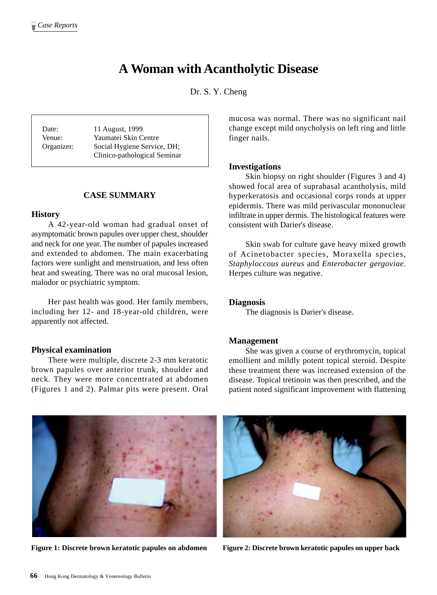# **A Woman with Acantholytic Disease**

Dr. S. Y. Cheng

Date: 11 August, 1999 Venue: Yaumatei Skin Centre Organizer: Social Hygiene Service, DH; Clinico-pathological Seminar

#### **CASE SUMMARY**

#### **History**

A 42-year-old woman had gradual onset of asymptomatic brown papules over upper chest, shoulder and neck for one year. The number of papules increased and extended to abdomen. The main exacerbating factors were sunlight and menstruation, and less often heat and sweating. There was no oral mucosal lesion, malodor or psychiatric symptom.

Her past health was good. Her family members, including her 12- and 18-year-old children, were apparently not affected.

#### **Physical examination**

There were multiple, discrete 2-3 mm keratotic brown papules over anterior trunk, shoulder and neck. They were more concentrated at abdomen (Figures 1 and 2). Palmar pits were present. Oral

mucosa was normal. There was no significant nail change except mild onycholysis on left ring and little finger nails.

#### **Investigations**

Skin biopsy on right shoulder (Figures 3 and 4) showed focal area of suprabasal acantholysis, mild hyperkeratosis and occasional corps ronds at upper epidermis. There was mild perivascular mononuclear infiltrate in upper dermis. The histological features were consistent with Darier's disease.

Skin swab for culture gave heavy mixed growth of Acinetobacter species, Moraxella species, *Staphyloccous aureus* and *Enterobacter gergoviae*. Herpes culture was negative.

### **Diagnosis**

The diagnosis is Darier's disease.

#### **Management**

She was given a course of erythromycin, topical emollient and mildly potent topical steroid. Despite these treatment there was increased extension of the disease. Topical tretinoin was then prescribed, and the patient noted significant improvement with flattening



**Figure 1: Discrete brown keratotic papules on abdomen Figure 2: Discrete brown keratotic papules on upper back**

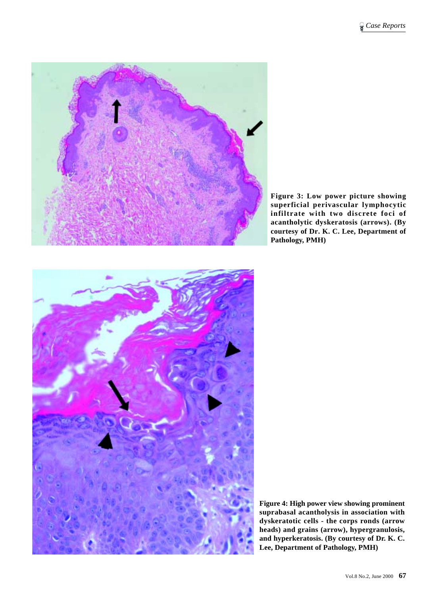

**Figure 3: Low power picture showing superficial perivascular lymphocytic infiltrate with two discrete foci of acantholytic dyskeratosis (arrows). (By courtesy of Dr. K. C. Lee, Department of Pathology, PMH)**



**Figure 4: High power view showing prominent suprabasal acantholysis in association with dyskeratotic cells - the corps ronds (arrow heads) and grains (arrow), hypergranulosis, and hyperkeratosis. (By courtesy of Dr. K. C. Lee, Department of Pathology, PMH)**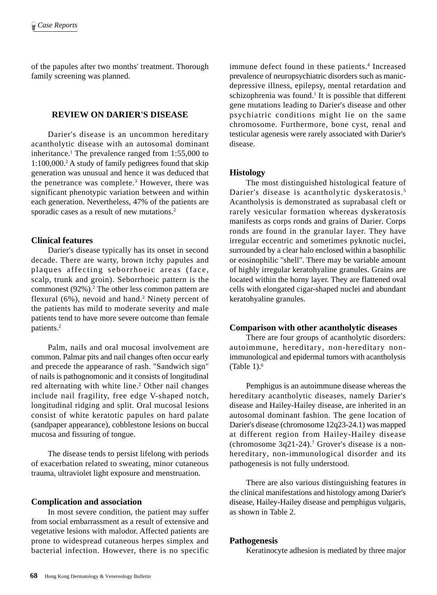of the papules after two months' treatment. Thorough family screening was planned.

# **REVIEW ON DARIER'S DISEASE**

Darier's disease is an uncommon hereditary acantholytic disease with an autosomal dominant inheritance.<sup>1</sup> The prevalence ranged from 1:55,000 to 1:100,000.2 A study of family pedigrees found that skip generation was unusual and hence it was deduced that the penetrance was complete.<sup>3</sup> However, there was significant phenotypic variation between and within each generation. Nevertheless, 47% of the patients are sporadic cases as a result of new mutations.<sup>2</sup>

#### **Clinical features**

Darier's disease typically has its onset in second decade. There are warty, brown itchy papules and plaques affecting seborrhoeic areas (face, scalp, trunk and groin). Seborrhoeic pattern is the commonest (92%).<sup>2</sup> The other less common pattern are flexural (6%), nevoid and hand.<sup>2</sup> Ninety percent of the patients has mild to moderate severity and male patients tend to have more severe outcome than female patients.2

Palm, nails and oral mucosal involvement are common. Palmar pits and nail changes often occur early and precede the appearance of rash. "Sandwich sign" of nails is pathognomonic and it consists of longitudinal red alternating with white line.<sup>2</sup> Other nail changes include nail fragility, free edge V-shaped notch, longitudinal ridging and split. Oral mucosal lesions consist of white keratotic papules on hard palate (sandpaper appearance), cobblestone lesions on buccal mucosa and fissuring of tongue.

The disease tends to persist lifelong with periods of exacerbation related to sweating, minor cutaneous trauma, ultraviolet light exposure and menstruation.

#### **Complication and association**

In most severe condition, the patient may suffer from social embarrassment as a result of extensive and vegetative lesions with malodor. Affected patients are prone to widespread cutaneous herpes simplex and bacterial infection. However, there is no specific

immune defect found in these patients.<sup>4</sup> Increased prevalence of neuropsychiatric disorders such as manicdepressive illness, epilepsy, mental retardation and schizophrenia was found.<sup>1</sup> It is possible that different gene mutations leading to Darier's disease and other psychiatric conditions might lie on the same chromosome. Furthermore, bone cyst, renal and testicular agenesis were rarely associated with Darier's disease.

#### **Histology**

The most distinguished histological feature of Darier's disease is acantholytic dyskeratosis. <sup>5</sup> Acantholysis is demonstrated as suprabasal cleft or rarely vesicular formation whereas dyskeratosis manifests as corps ronds and grains of Darier. Corps ronds are found in the granular layer. They have irregular eccentric and sometimes pyknotic nuclei, surrounded by a clear halo enclosed within a basophilic or eosinophilic "shell". There may be variable amount of highly irregular keratohyaline granules. Grains are located within the horny layer. They are flattened oval cells with elongated cigar-shaped nuclei and abundant keratohyaline granules.

#### **Comparison with other acantholytic diseases**

There are four groups of acantholytic disorders: autoimmune, hereditary, non-hereditary nonimmunological and epidermal tumors with acantholysis (Table  $1$ ).<sup>6</sup>

Pemphigus is an autoimmune disease whereas the hereditary acantholytic diseases, namely Darier's disease and Hailey-Hailey disease, are inherited in an autosomal dominant fashion. The gene location of Darier's disease (chromosome 12q23-24.1) was mapped at different region from Hailey-Hailey disease  $(chromosome 3q21-24).$ <sup>7</sup> Grover's disease is a nonhereditary, non-immunological disorder and its pathogenesis is not fully understood.

There are also various distinguishing features in the clinical manifestations and histology among Darier's disease, Hailey-Hailey disease and pemphigus vulgaris, as shown in Table 2.

#### **Pathogenesis**

Keratinocyte adhesion is mediated by three major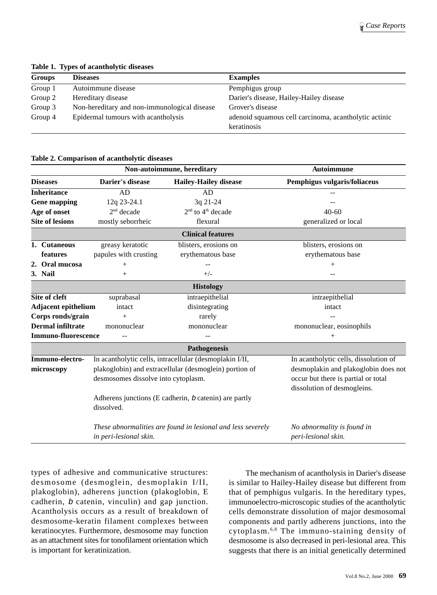| Tuble 1, 1, per of acumently the direction |                                              |                                                       |  |  |  |
|--------------------------------------------|----------------------------------------------|-------------------------------------------------------|--|--|--|
| <b>Groups</b>                              | <b>Diseases</b>                              | <b>Examples</b>                                       |  |  |  |
| Group 1                                    | Autoimmune disease                           | Pemphigus group                                       |  |  |  |
| Group 2                                    | Hereditary disease                           | Darier's disease, Hailey-Hailey disease               |  |  |  |
| Group 3                                    | Non-hereditary and non-immunological disease | Grover's disease                                      |  |  |  |
| Group 4                                    | Epidermal tumours with acantholysis          | adenoid squamous cell carcinoma, acantholytic actinic |  |  |  |
|                                            |                                              | keratinosis                                           |  |  |  |
|                                            |                                              |                                                       |  |  |  |

**Table 1. Types of acantholytic diseases**

#### **Table 2. Comparison of acantholytic diseases**

|                                                       |                                                                      | Non-autoimmune, hereditary                                                            |                                                                    | <b>Autoimmune</b>                                 |
|-------------------------------------------------------|----------------------------------------------------------------------|---------------------------------------------------------------------------------------|--------------------------------------------------------------------|---------------------------------------------------|
|                                                       | <b>Diseases</b>                                                      | Darier's disease                                                                      | <b>Hailey-Hailey disease</b>                                       | Pemphigus vulgaris/foliaceus                      |
|                                                       | <b>Inheritance</b>                                                   | <b>AD</b>                                                                             | AD                                                                 |                                                   |
| <b>Gene mapping</b>                                   |                                                                      | 12q 23-24.1                                                                           | 3q 21-24                                                           |                                                   |
| Age of onset                                          |                                                                      | $2nd$ decade                                                                          | 2 <sup>nd</sup> to 4 <sup>th</sup> decade                          | $40-60$                                           |
|                                                       | <b>Site of lesions</b>                                               | mostly seborrheic                                                                     | flexural                                                           | generalized or local                              |
|                                                       |                                                                      |                                                                                       | <b>Clinical features</b>                                           |                                                   |
|                                                       | 1. Cutaneous                                                         | greasy keratotic                                                                      | blisters, erosions on                                              | blisters, erosions on                             |
|                                                       | features                                                             | papules with crusting                                                                 | erythematous base                                                  | erythematous base                                 |
|                                                       | 2. Oral mucosa                                                       | $^{+}$                                                                                |                                                                    | $\hspace{0.1mm} +$                                |
|                                                       | 3. Nail                                                              | $^{+}$                                                                                | $+/-$                                                              |                                                   |
|                                                       |                                                                      |                                                                                       | <b>Histology</b>                                                   |                                                   |
| Site of cleft                                         |                                                                      | suprabasal                                                                            | intraepithelial                                                    | intraepithelial                                   |
| <b>Adjacent epithelium</b>                            |                                                                      | intact                                                                                | disintegrating                                                     | intact                                            |
| Corps ronds/grain                                     |                                                                      | $+$                                                                                   | rarely                                                             |                                                   |
| <b>Dermal infiltrate</b>                              |                                                                      | mononuclear                                                                           | mononuclear                                                        | mononuclear, eosinophils                          |
|                                                       | <b>Immuno-fluorescence</b>                                           |                                                                                       |                                                                    | $^{+}$                                            |
|                                                       |                                                                      |                                                                                       | Pathogenesis                                                       |                                                   |
|                                                       | Immuno-electro-                                                      | In acantholytic cells, intracellular (desmoplakin I/II,                               |                                                                    | In acantholytic cells, dissolution of             |
|                                                       | plakoglobin) and extracellular (desmoglein) portion of<br>microscopy |                                                                                       |                                                                    | desmoplakin and plakoglobin does not              |
|                                                       | desmosomes dissolve into cytoplasm.                                  |                                                                                       | occur but there is partial or total<br>dissolution of desmogleins. |                                                   |
| Adherens junctions (E cadherin, b catenin) are partly |                                                                      |                                                                                       |                                                                    |                                                   |
|                                                       | dissolved.                                                           |                                                                                       |                                                                    |                                                   |
|                                                       |                                                                      | These abnormalities are found in lesional and less severely<br>in peri-lesional skin. |                                                                    | No abnormality is found in<br>peri-lesional skin. |

types of adhesive and communicative structures: desmosome (desmoglein, desmoplakin I/II, plakoglobin), adherens junction (plakoglobin, E cadherin, <sup>b</sup> catenin, vinculin) and gap junction. Acantholysis occurs as a result of breakdown of desmosome-keratin filament complexes between keratinocytes. Furthermore, desmosome may function as an attachment sites for tonofilament orientation which is important for keratinization.

The mechanism of acantholysis in Darier's disease is similar to Hailey-Hailey disease but different from that of pemphigus vulgaris. In the hereditary types, immunoelectro-microscopic studies of the acantholytic cells demonstrate dissolution of major desmosomal components and partly adherens junctions, into the cytoplasm. 6,8 The immuno-staining density of desmosome is also decreased in peri-lesional area. This suggests that there is an initial genetically determined